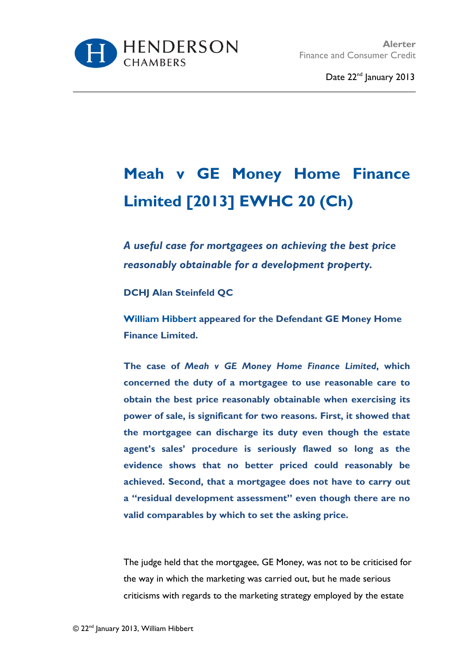

## **Meah v GE Money Home Finance Limited [2013] EWHC 20 (Ch)**

*A useful case for mortgagees on achieving the best price reasonably obtainable for a development property.*

**DCHJ Alan Steinfeld QC**

**[William Hibber](http://www.hendersonchambers.co.uk/barristers/barrister-profiles/junior/william.hibbert)***t* **appeared for the Defendant GE Money Home Finance Limited.**

**The case of** *Meah v GE Money Home Finance Limited***, which concerned the duty of a mortgagee to use reasonable care to obtain the best price reasonably obtainable when exercising its power of sale, is significant for two reasons. First, it showed that the mortgagee can discharge its duty even though the estate agent's sales' procedure is seriously flawed so long as the evidence shows that no better priced could reasonably be achieved. Second, that a mortgagee does not have to carry out a "residual development assessment" even though there are no valid comparables by which to set the asking price.** 

The judge held that the mortgagee, GE Money, was not to be criticised for the way in which the marketing was carried out, but he made serious criticisms with regards to the marketing strategy employed by the estate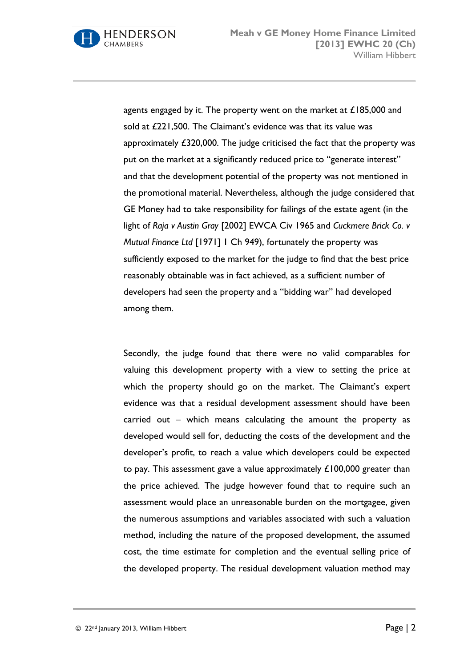

agents engaged by it. The property went on the market at £185,000 and sold at £221,500. The Claimant's evidence was that its value was approximately £320,000. The judge criticised the fact that the property was put on the market at a significantly reduced price to "generate interest" and that the development potential of the property was not mentioned in the promotional material. Nevertheless, although the judge considered that GE Money had to take responsibility for failings of the estate agent (in the light of *Raja v Austin Gray* [2002] EWCA Civ 1965 and *Cuckmere Brick Co. v Mutual Finance Ltd* [1971] 1 Ch 949), fortunately the property was sufficiently exposed to the market for the judge to find that the best price reasonably obtainable was in fact achieved, as a sufficient number of developers had seen the property and a "bidding war" had developed among them.

Secondly, the judge found that there were no valid comparables for valuing this development property with a view to setting the price at which the property should go on the market. The Claimant's expert evidence was that a residual development assessment should have been carried out – which means calculating the amount the property as developed would sell for, deducting the costs of the development and the developer's profit, to reach a value which developers could be expected to pay. This assessment gave a value approximately £100,000 greater than the price achieved. The judge however found that to require such an assessment would place an unreasonable burden on the mortgagee, given the numerous assumptions and variables associated with such a valuation method, including the nature of the proposed development, the assumed cost, the time estimate for completion and the eventual selling price of the developed property. The residual development valuation method may